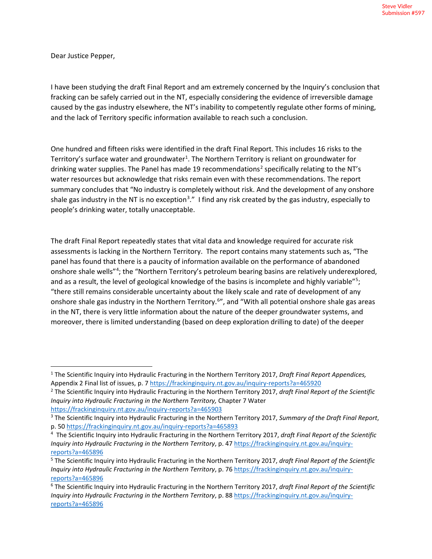Dear Justice Pepper,

I have been studying the draft Final Report and am extremely concerned by the Inquiry's conclusion that fracking can be safely carried out in the NT, especially considering the evidence of irreversible damage caused by the gas industry elsewhere, the NT's inability to competently regulate other forms of mining, and the lack of Territory specific information available to reach such a conclusion.

One hundred and fifteen risks were identified in the draft Final Report. This includes 16 risks to the Territory's surface water and groundwater<sup>[1](#page-0-0)</sup>. The Northern Territory is reliant on groundwater for drinking water supplies. The Panel has made 19 recommendations<sup>[2](#page-0-1)</sup> specifically relating to the NT's water resources but acknowledge that risks remain even with these recommendations. The report summary concludes that "No industry is completely without risk. And the development of any onshore shale gas industry in the NT is no exception<sup>[3](#page-0-2)</sup>." I find any risk created by the gas industry, especially to people's drinking water, totally unacceptable.

The draft Final Report repeatedly states that vital data and knowledge required for accurate risk assessments is lacking in the Northern Territory. The report contains many statements such as, "The panel has found that there is a paucity of information available on the performance of abandoned onshore shale wells"<sup>[4](#page-0-3)</sup>; the "Northern Territory's petroleum bearing basins are relatively underexplored, and as a result, the level of geological knowledge of the basins is incomplete and highly variable"<sup>[5](#page-0-4)</sup>; "there still remains considerable uncertainty about the likely scale and rate of development of any onshore shale gas industry in the Northern Territory.<sup>[6](#page-0-5)</sup>", and "With all potential onshore shale gas areas in the NT, there is very little information about the nature of the deeper groundwater systems, and moreover, there is limited understanding (based on deep exploration drilling to date) of the deeper

<span id="page-0-0"></span><sup>1</sup> The Scientific Inquiry into Hydraulic Fracturing in the Northern Territory 2017, *Draft Final Report Appendices,* 

<span id="page-0-1"></span>Appendix 2 Final list of issues, p. 7 https://frackinginquiry.nt.gov.au/inquiry-reports?a=465920<br><sup>2</sup> The Scientific Inquiry into Hydraulic Fracturing in the Northern Territory 2017, *draft Final Report of the Scientific Inquiry into Hydraulic Fracturing in the Northern Territory,* Chapter 7 Water

<span id="page-0-2"></span>https://frackinginquiry.nt.gov.au/inquiry-reports?a=465903<br><sup>3</sup> The Scientific Inquiry into Hydraulic Fracturing in the Northern Territory 2017, *Summary of the Draft Final Report*, p. 5[0 https://frackinginquiry.nt.gov.au/inquiry-reports?a=465893](https://frackinginquiry.nt.gov.au/inquiry-reports?a=465893)

<span id="page-0-3"></span><sup>4</sup> The Scientific Inquiry into Hydraulic Fracturing in the Northern Territory 2017, *draft Final Report of the Scientific Inquiry into Hydraulic Fracturing in the Northern Territory*, p. 47 [https://frackinginquiry.nt.gov.au/inquiry](https://frackinginquiry.nt.gov.au/inquiry-reports?a=465896)[reports?a=465896](https://frackinginquiry.nt.gov.au/inquiry-reports?a=465896)

<span id="page-0-4"></span><sup>5</sup> The Scientific Inquiry into Hydraulic Fracturing in the Northern Territory 2017, *draft Final Report of the Scientific Inquiry into Hydraulic Fracturing in the Northern Territory*, p. 76 [https://frackinginquiry.nt.gov.au/inquiry](https://frackinginquiry.nt.gov.au/inquiry-reports?a=465896)[reports?a=465896](https://frackinginquiry.nt.gov.au/inquiry-reports?a=465896)

<span id="page-0-5"></span><sup>6</sup> The Scientific Inquiry into Hydraulic Fracturing in the Northern Territory 2017, *draft Final Report of the Scientific Inquiry into Hydraulic Fracturing in the Northern Territory*, p. 88 [https://frackinginquiry.nt.gov.au/inquiry](https://frackinginquiry.nt.gov.au/inquiry-reports?a=465896)[reports?a=465896](https://frackinginquiry.nt.gov.au/inquiry-reports?a=465896)